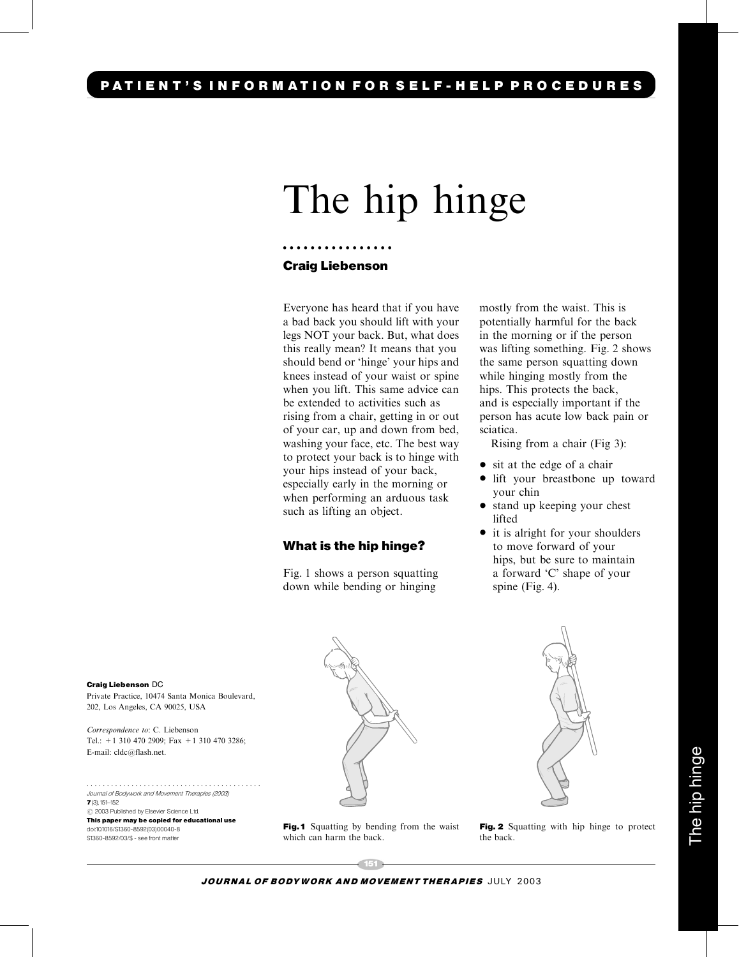## The hip hinge

## ................ Craig Liebenson

Everyone has heard that if you have a bad back you should lift with your legs NOT your back. But, what does this really mean? It means that you should bend or 'hinge' your hips and knees instead of your waist or spine when you lift. This same advice can be extended to activities such as rising from a chair, getting in or out of your car, up and down from bed, washing your face, etc. The best way to protect your back is to hinge with your hips instead of your back, especially early in the morning or when performing an arduous task such as lifting an object.

## What is the hip hinge?

Fig. 1 shows a person squatting down while bending or hinging

mostly from the waist. This is potentially harmful for the back in the morning or if the person was lifting something. Fig. 2 shows the same person squatting down while hinging mostly from the hips. This protects the back, and is especially important if the person has acute low back pain or sciatica.

Rising from a chair (Fig 3):

- $\bullet$  sit at the edge of a chair
- lift your breastbone up toward your chin
- stand up keeping your chest lifted
- it is alright for your shoulders to move forward of your hips, but be sure to maintain a forward 'C' shape of your spine (Fig. 4).



Private Practice, 10474 Santa Monica Boulevard, 202, Los Angeles, CA 90025, USA

Correspondence to: C. Liebenson Tel.: +1 310 470 2909; Fax +1 310 470 3286; E-mail: cldc@flash.net.

........................................... Journal of Bodywork and Movement Therapies (2003)  $7(3)$ , 151-152 C 2003 Published by Elsevier Science Ltd.

This paper may be copied for educational use doi:10.1016/S1360-8592(03)00040-8 S1360-8592/03/\$ - see front matter



Fig.1 Squatting by bending from the waist which can harm the back.



Fig. 2 Squatting with hip hinge to protect the back.

151 JOURNAL OF BODYWORK AND MOVEMENT THERAPIES JULY 2003